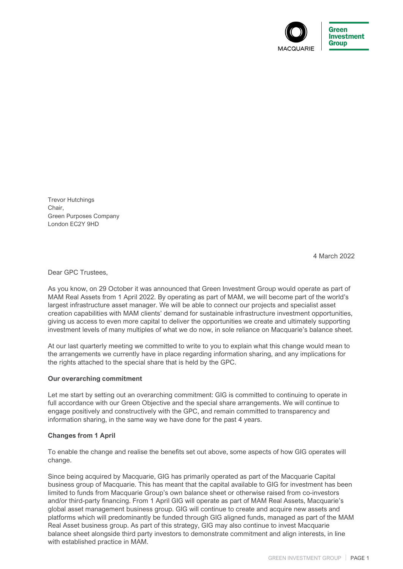

Trevor Hutchings Chair, Green Purposes Company London EC2Y 9HD

4 March 2022

Dear GPC Trustees,

As you know, on 29 October it was announced that Green Investment Group would operate as part of MAM Real Assets from 1 April 2022. By operating as part of MAM, we will become part of the world's largest infrastructure asset manager. We will be able to connect our projects and specialist asset creation capabilities with MAM clients' demand for sustainable infrastructure investment opportunities, giving us access to even more capital to deliver the opportunities we create and ultimately supporting investment levels of many multiples of what we do now, in sole reliance on Macquarie's balance sheet.

At our last quarterly meeting we committed to write to you to explain what this change would mean to the arrangements we currently have in place regarding information sharing, and any implications for the rights attached to the special share that is held by the GPC.

## **Our overarching commitment**

Let me start by setting out an overarching commitment: GIG is committed to continuing to operate in full accordance with our Green Objective and the special share arrangements. We will continue to engage positively and constructively with the GPC, and remain committed to transparency and information sharing, in the same way we have done for the past 4 years.

## **Changes from 1 April**

To enable the change and realise the benefits set out above, some aspects of how GIG operates will change.

Since being acquired by Macquarie, GIG has primarily operated as part of the Macquarie Capital business group of Macquarie. This has meant that the capital available to GIG for investment has been limited to funds from Macquarie Group's own balance sheet or otherwise raised from co-investors and/or third-party financing. From 1 April GIG will operate as part of MAM Real Assets, Macquarie's global asset management business group. GIG will continue to create and acquire new assets and platforms which will predominantly be funded through GIG aligned funds, managed as part of the MAM Real Asset business group. As part of this strategy, GIG may also continue to invest Macquarie balance sheet alongside third party investors to demonstrate commitment and align interests, in line with established practice in MAM.